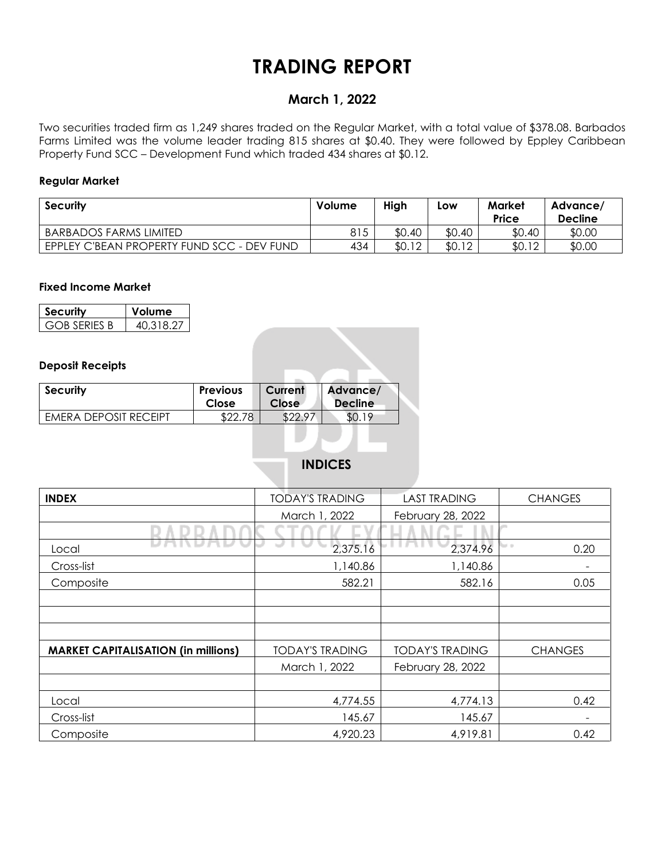# **TRADING REPORT**

## **March 1, 2022**

Two securities traded firm as 1,249 shares traded on the Regular Market, with a total value of \$378.08. Barbados Farms Limited was the volume leader trading 815 shares at \$0.40. They were followed by Eppley Caribbean Property Fund SCC – Development Fund which traded 434 shares at \$0.12.

### **Regular Market**

| <b>Security</b>                            | Volume | High   | Low    | Market<br><b>Price</b> | Advance/<br><b>Decline</b> |  |
|--------------------------------------------|--------|--------|--------|------------------------|----------------------------|--|
| <b>BARBADOS FARMS LIMITED</b>              | 815    | \$0.40 | \$0.40 | \$0.40                 | \$0.00                     |  |
| EPPLEY C'BEAN PROPERTY FUND SCC - DEV FUND | 434    | \$0.12 | \$0.12 | \$0.12                 | \$0.00                     |  |

### **Fixed Income Market**

| Security     | Volume    |  |  |  |  |  |
|--------------|-----------|--|--|--|--|--|
| GOB SERIES B | 40.318.27 |  |  |  |  |  |

### **Deposit Receipts**

| <b>Security</b>              | <b>Previous</b><br>Close | Current<br><b>Close</b> | Advance/<br><b>Decline</b> |  |
|------------------------------|--------------------------|-------------------------|----------------------------|--|
| <b>FMFRA DEPOSIT RECEIPT</b> | 70.<br>നേ                | ס ממ                    |                            |  |

### **INDICES**

| <b>INDEX</b>                               | <b>TODAY'S TRADING</b> | <b>LAST TRADING</b>    | <b>CHANGES</b>    |  |  |
|--------------------------------------------|------------------------|------------------------|-------------------|--|--|
|                                            | March 1, 2022          | February 28, 2022      |                   |  |  |
|                                            |                        |                        |                   |  |  |
| Local                                      | 2,375.16               | 2,374.96               | <b>MO</b><br>0.20 |  |  |
| Cross-list                                 | 1,140.86               | 1,140.86               |                   |  |  |
| Composite                                  | 582.21                 | 582.16                 | 0.05              |  |  |
|                                            |                        |                        |                   |  |  |
|                                            |                        |                        |                   |  |  |
|                                            |                        |                        |                   |  |  |
| <b>MARKET CAPITALISATION (in millions)</b> | <b>TODAY'S TRADING</b> | <b>TODAY'S TRADING</b> | <b>CHANGES</b>    |  |  |
|                                            | March 1, 2022          | February 28, 2022      |                   |  |  |
|                                            |                        |                        |                   |  |  |
| Local                                      | 4,774.55               | 4,774.13               | 0.42              |  |  |
| Cross-list                                 | 145.67                 | 145.67                 |                   |  |  |
| Composite                                  | 4,920.23               | 4,919.81               | 0.42              |  |  |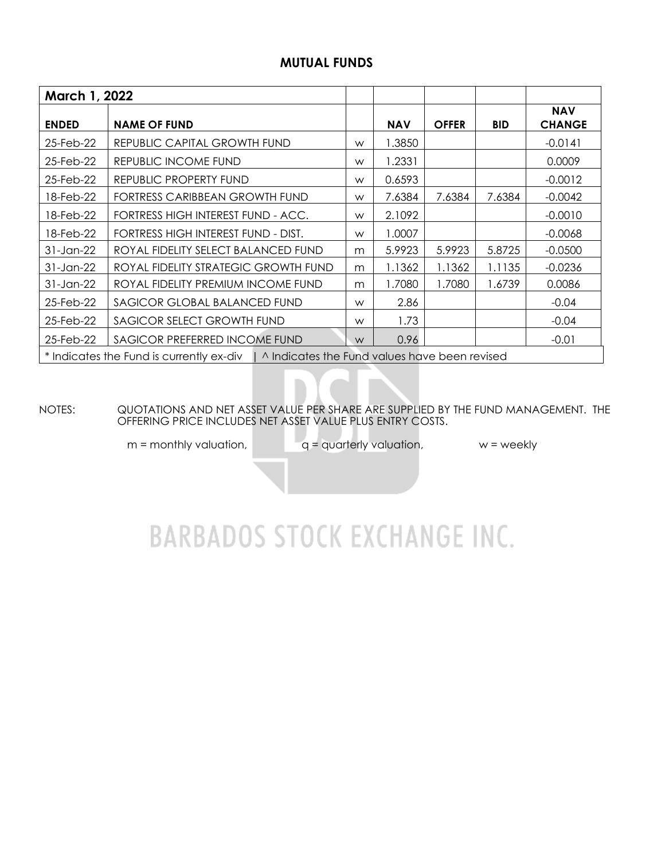### **MUTUAL FUNDS**

| March 1, 2022                                                                            |                                      |   |            |              |            |                             |  |  |  |
|------------------------------------------------------------------------------------------|--------------------------------------|---|------------|--------------|------------|-----------------------------|--|--|--|
| <b>ENDED</b>                                                                             | <b>NAME OF FUND</b>                  |   | <b>NAV</b> | <b>OFFER</b> | <b>BID</b> | <b>NAV</b><br><b>CHANGE</b> |  |  |  |
| 25-Feb-22                                                                                | REPUBLIC CAPITAL GROWTH FUND         | W | 1.3850     |              |            | $-0.0141$                   |  |  |  |
| 25-Feb-22                                                                                | REPUBLIC INCOME FUND                 | W | 1.2331     |              |            | 0.0009                      |  |  |  |
| 25-Feb-22                                                                                | REPUBLIC PROPERTY FUND               | W | 0.6593     |              |            | $-0.0012$                   |  |  |  |
| 18-Feb-22                                                                                | FORTRESS CARIBBEAN GROWTH FUND       | W | 7.6384     | 7.6384       | 7.6384     | $-0.0042$                   |  |  |  |
| 18-Feb-22                                                                                | FORTRESS HIGH INTEREST FUND - ACC.   | W | 2.1092     |              |            | $-0.0010$                   |  |  |  |
| 18-Feb-22                                                                                | FORTRESS HIGH INTEREST FUND - DIST.  | W | 1.0007     |              |            | $-0.0068$                   |  |  |  |
| 31-Jan-22                                                                                | ROYAL FIDELITY SELECT BALANCED FUND  | m | 5.9923     | 5.9923       | 5.8725     | $-0.0500$                   |  |  |  |
| 31-Jan-22                                                                                | ROYAL FIDELITY STRATEGIC GROWTH FUND | m | 1.1362     | 1.1362       | 1.1135     | $-0.0236$                   |  |  |  |
| 31-Jan-22                                                                                | ROYAL FIDELITY PREMIUM INCOME FUND   | m | 1.7080     | 1.7080       | 1.6739     | 0.0086                      |  |  |  |
| 25-Feb-22                                                                                | SAGICOR GLOBAL BALANCED FUND         | W | 2.86       |              |            | $-0.04$                     |  |  |  |
| 25-Feb-22                                                                                | SAGICOR SELECT GROWTH FUND           |   | 1.73       |              |            | $-0.04$                     |  |  |  |
| SAGICOR PREFERRED INCOME FUND<br>25-Feb-22                                               |                                      | W | 0.96       |              |            | $-0.01$                     |  |  |  |
| * Indicates the Fund is currently ex-div   ^ Indicates the Fund values have been revised |                                      |   |            |              |            |                             |  |  |  |

NOTES: QUOTATIONS AND NET ASSET VALUE PER SHARE ARE SUPPLIED BY THE FUND MANAGEMENT. THE OFFERING PRICE INCLUDES NET ASSET VALUE PLUS ENTRY COSTS.

 $m =$  monthly valuation,  $q =$  quarterly valuation,  $w =$  weekly

# **BARBADOS STOCK EXCHANGE INC.**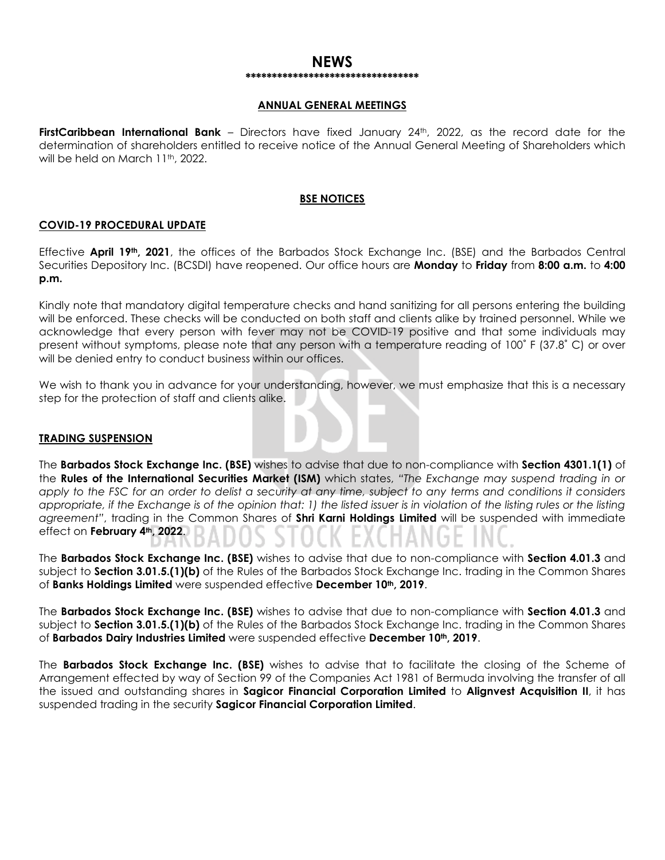#### **NEWS \*\*\*\*\*\*\*\*\*\*\*\*\*\*\*\*\*\*\*\*\*\*\*\*\*\*\*\*\*\*\*\*\***

#### **ANNUAL GENERAL MEETINGS**

**FirstCaribbean International Bank** – Directors have fixed January 24<sup>th</sup>, 2022, as the record date for the determination of shareholders entitled to receive notice of the Annual General Meeting of Shareholders which will be held on March 11th, 2022.

### **BSE NOTICES**

### **COVID-19 PROCEDURAL UPDATE**

Effective **April 19th, 2021**, the offices of the Barbados Stock Exchange Inc. (BSE) and the Barbados Central Securities Depository Inc. (BCSDI) have reopened. Our office hours are **Monday** to **Friday** from **8:00 a.m.** to **4:00 p.m.**

Kindly note that mandatory digital temperature checks and hand sanitizing for all persons entering the building will be enforced. These checks will be conducted on both staff and clients alike by trained personnel. While we acknowledge that every person with fever may not be COVID-19 positive and that some individuals may present without symptoms, please note that any person with a temperature reading of 100˚ F (37.8˚ C) or over will be denied entry to conduct business within our offices.

We wish to thank you in advance for your understanding, however, we must emphasize that this is a necessary step for the protection of staff and clients alike.

### **TRADING SUSPENSION**

The **Barbados Stock Exchange Inc. (BSE)** wishes to advise that due to non-compliance with **Section 4301.1(1)** of the **Rules of the International Securities Market (ISM)** which states, *"The Exchange may suspend trading in or apply to the FSC for an order to delist a security at any time, subject to any terms and conditions it considers appropriate, if the Exchange is of the opinion that: 1) the listed issuer is in violation of the listing rules or the listing agreement"*, trading in the Common Shares of **Shri Karni Holdings Limited** will be suspended with immediate effect on **February 4th, 2022**.

The **Barbados Stock Exchange Inc. (BSE)** wishes to advise that due to non-compliance with **Section 4.01.3** and subject to **Section 3.01.5.(1)(b)** of the Rules of the Barbados Stock Exchange Inc. trading in the Common Shares of **Banks Holdings Limited** were suspended effective **December 10th, 2019**.

The **Barbados Stock Exchange Inc. (BSE)** wishes to advise that due to non-compliance with **Section 4.01.3** and subject to **Section 3.01.5.(1)(b)** of the Rules of the Barbados Stock Exchange Inc. trading in the Common Shares of **Barbados Dairy Industries Limited** were suspended effective **December 10th, 2019**.

The **Barbados Stock Exchange Inc. (BSE)** wishes to advise that to facilitate the closing of the Scheme of Arrangement effected by way of Section 99 of the Companies Act 1981 of Bermuda involving the transfer of all the issued and outstanding shares in **Sagicor Financial Corporation Limited** to **Alignvest Acquisition II**, it has suspended trading in the security **Sagicor Financial Corporation Limited**.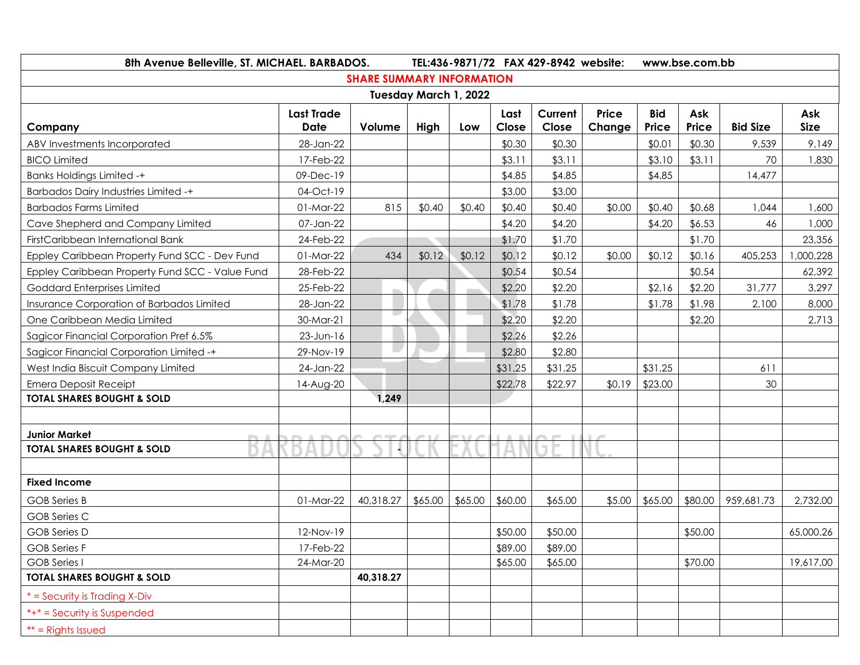| 8th Avenue Belleville, ST. MICHAEL. BARBADOS.   |                                  |                                  |                       |         |               | TEL:436-9871/72 FAX 429-8942 website: |                        | www.bse.com.bb      |              |                 |                    |  |
|-------------------------------------------------|----------------------------------|----------------------------------|-----------------------|---------|---------------|---------------------------------------|------------------------|---------------------|--------------|-----------------|--------------------|--|
|                                                 |                                  | <b>SHARE SUMMARY INFORMATION</b> |                       |         |               |                                       |                        |                     |              |                 |                    |  |
|                                                 |                                  |                                  | Tuesday March 1, 2022 |         |               |                                       |                        |                     |              |                 |                    |  |
| Company                                         | <b>Last Trade</b><br><b>Date</b> | Volume                           | High                  | Low     | Last<br>Close | Current<br>Close                      | <b>Price</b><br>Change | <b>Bid</b><br>Price | Ask<br>Price | <b>Bid Size</b> | Ask<br><b>Size</b> |  |
| ABV Investments Incorporated                    | 28-Jan-22                        |                                  |                       |         | \$0.30        | \$0.30                                |                        | \$0.01              | \$0.30       | 9,539           | 9,149              |  |
| <b>BICO Limited</b>                             | 17-Feb-22                        |                                  |                       |         | \$3.11        | \$3.11                                |                        | \$3.10              | \$3.11       | 70              | 1,830              |  |
| <b>Banks Holdings Limited -+</b>                | 09-Dec-19                        |                                  |                       |         | \$4.85        | \$4.85                                |                        | \$4.85              |              | 14,477          |                    |  |
| <b>Barbados Dairy Industries Limited -+</b>     | 04-Oct-19                        |                                  |                       |         | \$3.00        | \$3.00                                |                        |                     |              |                 |                    |  |
| <b>Barbados Farms Limited</b>                   | 01-Mar-22                        | 815                              | \$0.40                | \$0.40  | \$0.40        | \$0.40                                | \$0.00                 | \$0.40              | \$0.68       | 1,044           | 1,600              |  |
| Cave Shepherd and Company Limited               | 07-Jan-22                        |                                  |                       |         | \$4.20        | \$4.20                                |                        | \$4.20              | \$6.53       | 46              | 1,000              |  |
| FirstCaribbean International Bank               | 24-Feb-22                        |                                  |                       |         | \$1.70        | \$1.70                                |                        |                     | \$1.70       |                 | 23,356             |  |
| Eppley Caribbean Property Fund SCC - Dev Fund   | 01-Mar-22                        | 434                              | \$0.12                | \$0.12  | \$0.12        | \$0.12                                | \$0.00                 | \$0.12              | \$0.16       | 405,253         | 000,228            |  |
| Eppley Caribbean Property Fund SCC - Value Fund | 28-Feb-22                        |                                  |                       |         | \$0.54        | \$0.54                                |                        |                     | \$0.54       |                 | 62,392             |  |
| Goddard Enterprises Limited                     | 25-Feb-22                        |                                  |                       |         | \$2.20        | \$2.20                                |                        | \$2.16              | \$2.20       | 31,777          | 3,297              |  |
| Insurance Corporation of Barbados Limited       | 28-Jan-22                        |                                  |                       |         | \$1.78        | \$1.78                                |                        | \$1.78              | \$1.98       | 2,100           | 8,000              |  |
| One Caribbean Media Limited                     | 30-Mar-21                        | u.                               |                       |         | \$2.20        | \$2.20                                |                        |                     | \$2.20       |                 | 2,713              |  |
| Sagicor Financial Corporation Pref 6.5%         | $23$ -Jun-16                     |                                  |                       |         | \$2.26        | \$2.26                                |                        |                     |              |                 |                    |  |
| Sagicor Financial Corporation Limited -+        | 29-Nov-19                        |                                  |                       |         | \$2.80        | \$2.80                                |                        |                     |              |                 |                    |  |
| West India Biscuit Company Limited              | 24-Jan-22                        |                                  |                       |         | \$31.25       | \$31.25                               |                        | \$31.25             |              | 611             |                    |  |
| <b>Emera Deposit Receipt</b>                    | 14-Aug-20                        |                                  |                       |         | \$22.78       | \$22.97                               | \$0.19                 | \$23.00             |              | 30              |                    |  |
| <b>TOTAL SHARES BOUGHT &amp; SOLD</b>           |                                  | 1,249                            |                       |         |               |                                       |                        |                     |              |                 |                    |  |
|                                                 |                                  |                                  |                       |         |               |                                       |                        |                     |              |                 |                    |  |
| <b>Junior Market</b>                            |                                  |                                  |                       |         |               | $\sim$                                |                        |                     |              |                 |                    |  |
| <b>TOTAL SHARES BOUGHT &amp; SOLD</b>           |                                  |                                  |                       |         |               |                                       |                        |                     |              |                 |                    |  |
|                                                 |                                  |                                  |                       |         |               |                                       |                        |                     |              |                 |                    |  |
| <b>Fixed Income</b>                             |                                  |                                  |                       |         |               |                                       |                        |                     |              |                 |                    |  |
| GOB Series B                                    | 01-Mar-22                        | 40,318.27                        | \$65.00               | \$65.00 | \$60.00       | \$65.00                               | \$5.00                 | \$65.00             | \$80.00      | 959,681.73      | 2,732.00           |  |
| <b>GOB Series C</b>                             |                                  |                                  |                       |         |               |                                       |                        |                     |              |                 |                    |  |
| <b>GOB</b> Series D                             | 12-Nov-19                        |                                  |                       |         | \$50.00       | \$50.00                               |                        |                     | \$50.00      |                 | 65,000.26          |  |
| <b>GOB</b> Series F                             | 17-Feb-22                        |                                  |                       |         | \$89.00       | \$89.00                               |                        |                     |              |                 |                    |  |
| <b>GOB</b> Series I                             | 24-Mar-20                        |                                  |                       |         | \$65.00       | \$65.00                               |                        |                     | \$70.00      |                 | 19,617.00          |  |
| <b>TOTAL SHARES BOUGHT &amp; SOLD</b>           |                                  | 40,318.27                        |                       |         |               |                                       |                        |                     |              |                 |                    |  |
| * = Security is Trading X-Div                   |                                  |                                  |                       |         |               |                                       |                        |                     |              |                 |                    |  |
| *+* = Security is Suspended                     |                                  |                                  |                       |         |               |                                       |                        |                     |              |                 |                    |  |
| $**$ = Rights Issued                            |                                  |                                  |                       |         |               |                                       |                        |                     |              |                 |                    |  |